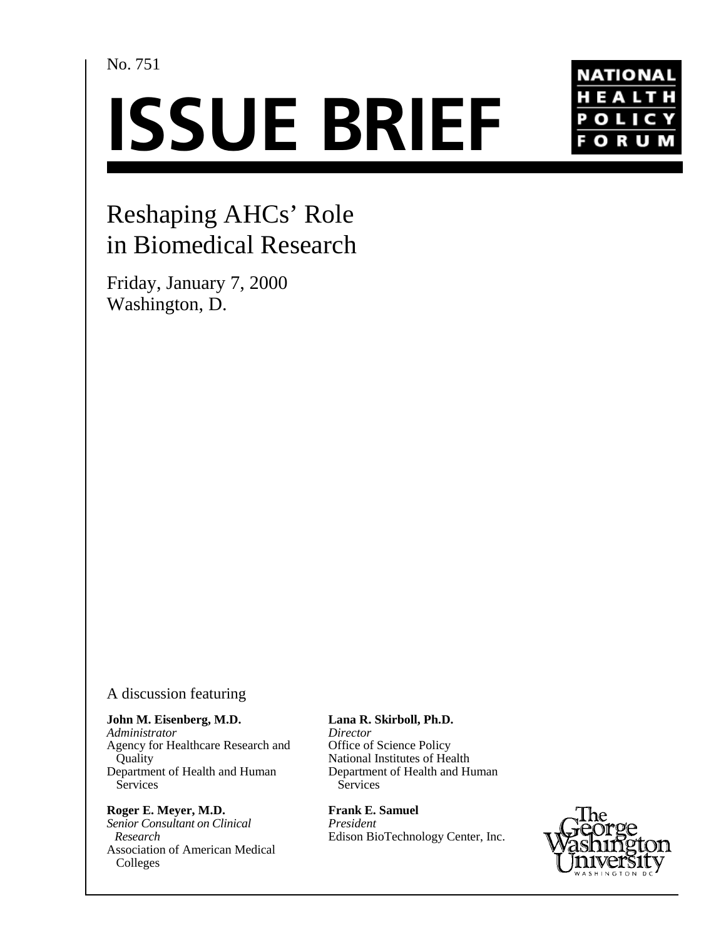No. 751

# **ISSUE BRIEF**



# Reshaping AHCs' Role in Biomedical Research

Friday, January 7, 2000 Washington, D.

## A discussion featuring

**John M. Eisenberg, M.D.** *Administrator* Agency for Healthcare Research and **Quality** 

Department of Health and Human **Services Roger E. Meyer, M.D.**

*Senior Consultant on Clinical Research* Association of American Medical Colleges

#### **Lana R. Skirboll, Ph.D.**

*Director* Office of Science Policy National Institutes of Health Department of Health and Human **Services** 

**Frank E. Samuel** *President* Edison BioTechnology Center, Inc.

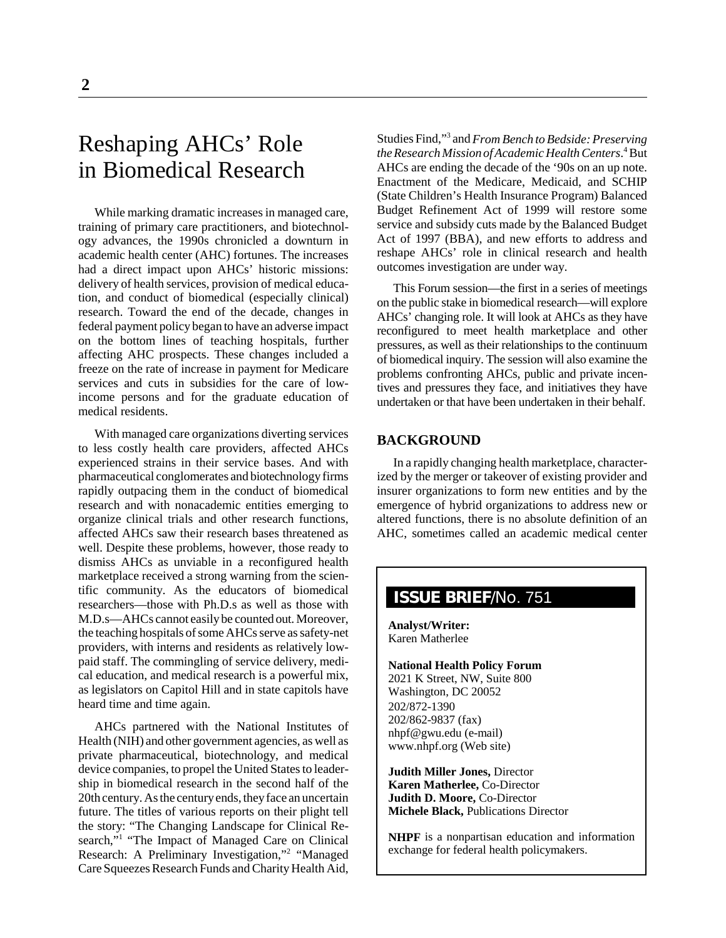## Reshaping AHCs' Role in Biomedical Research

While marking dramatic increases in managed care, training of primary care practitioners, and biotechnology advances, the 1990s chronicled a downturn in academic health center (AHC) fortunes. The increases had a direct impact upon AHCs' historic missions: delivery of health services, provision of medical education, and conduct of biomedical (especially clinical) research. Toward the end of the decade, changes in federal payment policy began to have an adverse impact on the bottom lines of teaching hospitals, further affecting AHC prospects. These changes included a freeze on the rate of increase in payment for Medicare services and cuts in subsidies for the care of lowincome persons and for the graduate education of medical residents.

With managed care organizations diverting services to less costly health care providers, affected AHCs experienced strains in their service bases. And with pharmaceutical conglomerates and biotechnology firms rapidly outpacing them in the conduct of biomedical research and with nonacademic entities emerging to organize clinical trials and other research functions, affected AHCs saw their research bases threatened as well. Despite these problems, however, those ready to dismiss AHCs as unviable in a reconfigured health marketplace received a strong warning from the scientific community. As the educators of biomedical researchers—those with Ph.D.s as well as those with M.D.s—AHCs cannot easily be counted out. Moreover, the teaching hospitals of some AHCs serve as safety-net providers, with interns and residents as relatively lowpaid staff. The commingling of service delivery, medical education, and medical research is a powerful mix, as legislators on Capitol Hill and in state capitols have heard time and time again.

AHCs partnered with the National Institutes of Health (NIH) and other government agencies, as well as private pharmaceutical, biotechnology, and medical device companies, to propel the United States to leadership in biomedical research in the second half of the 20th century. As the century ends, they face an uncertain future. The titles of various reports on their plight tell the story: "The Changing Landscape for Clinical Research,"<sup>1</sup> "The Impact of Managed Care on Clinical Research: A Preliminary Investigation,"2 "Managed Care Squeezes Research Funds and Charity Health Aid,

Studies Find,"3 and *From Bench to Bedside: Preserving* the Research Mission of Academic Health Centers.<sup>4</sup> But AHCs are ending the decade of the '90s on an up note. Enactment of the Medicare, Medicaid, and SCHIP (State Children's Health Insurance Program) Balanced Budget Refinement Act of 1999 will restore some service and subsidy cuts made by the Balanced Budget Act of 1997 (BBA), and new efforts to address and reshape AHCs' role in clinical research and health outcomes investigation are under way.

This Forum session—the first in a series of meetings on the public stake in biomedical research—will explore AHCs' changing role. It will look at AHCs as they have reconfigured to meet health marketplace and other pressures, as well as their relationships to the continuum of biomedical inquiry. The session will also examine the problems confronting AHCs, public and private incentives and pressures they face, and initiatives they have undertaken or that have been undertaken in their behalf.

#### **BACKGROUND**

In a rapidly changing health marketplace, characterized by the merger or takeover of existing provider and insurer organizations to form new entities and by the emergence of hybrid organizations to address new or altered functions, there is no absolute definition of an AHC, sometimes called an academic medical center

### **ISSUE BRIEF**/No. 751

**Analyst/Writer:** Karen Matherlee

**National Health Policy Forum** 2021 K Street, NW, Suite 800 Washington, DC 20052 202/872-1390 202/862-9837 (fax) nhpf@gwu.edu (e-mail) www.nhpf.org (Web site)

**Judith Miller Jones,** Director **Karen Matherlee,** Co-Director **Judith D. Moore,** Co-Director **Michele Black,** Publications Director

**NHPF** is a nonpartisan education and information exchange for federal health policymakers.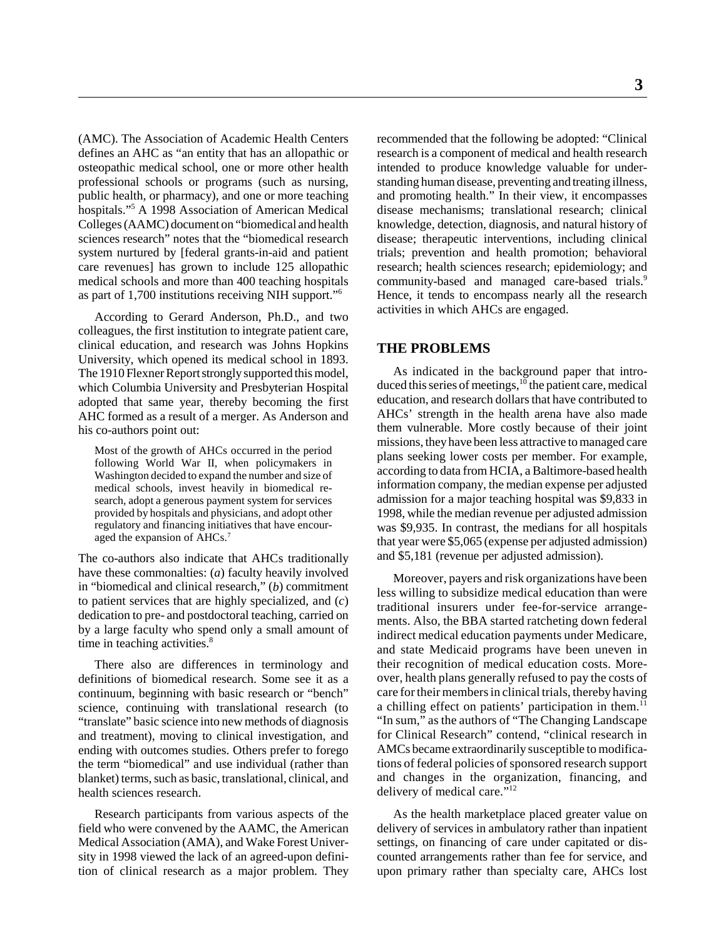(AMC). The Association of Academic Health Centers defines an AHC as "an entity that has an allopathic or osteopathic medical school, one or more other health professional schools or programs (such as nursing, public health, or pharmacy), and one or more teaching hospitals."5 A 1998 Association of American Medical Colleges (AAMC) document on "biomedical and health sciences research" notes that the "biomedical research system nurtured by [federal grants-in-aid and patient care revenues] has grown to include 125 allopathic medical schools and more than 400 teaching hospitals as part of 1,700 institutions receiving NIH support."6

According to Gerard Anderson, Ph.D., and two colleagues, the first institution to integrate patient care, clinical education, and research was Johns Hopkins University, which opened its medical school in 1893. The 1910 Flexner Report strongly supported this model, which Columbia University and Presbyterian Hospital adopted that same year, thereby becoming the first AHC formed as a result of a merger. As Anderson and his co-authors point out:

Most of the growth of AHCs occurred in the period following World War II, when policymakers in Washington decided to expand the number and size of medical schools, invest heavily in biomedical research, adopt a generous payment system for services provided by hospitals and physicians, and adopt other regulatory and financing initiatives that have encouraged the expansion of AHCs.<sup>7</sup>

The co-authors also indicate that AHCs traditionally have these commonalties: (*a*) faculty heavily involved in "biomedical and clinical research," (*b*) commitment to patient services that are highly specialized, and (*c*) dedication to pre- and postdoctoral teaching, carried on by a large faculty who spend only a small amount of time in teaching activities.<sup>8</sup>

There also are differences in terminology and definitions of biomedical research. Some see it as a continuum, beginning with basic research or "bench" science, continuing with translational research (to "translate" basic science into new methods of diagnosis and treatment), moving to clinical investigation, and ending with outcomes studies. Others prefer to forego the term "biomedical" and use individual (rather than blanket) terms, such as basic, translational, clinical, and health sciences research.

Research participants from various aspects of the field who were convened by the AAMC, the American Medical Association (AMA), and Wake Forest University in 1998 viewed the lack of an agreed-upon definition of clinical research as a major problem. They recommended that the following be adopted: "Clinical research is a component of medical and health research intended to produce knowledge valuable for understanding human disease, preventing and treating illness, and promoting health." In their view, it encompasses disease mechanisms; translational research; clinical knowledge, detection, diagnosis, and natural history of disease; therapeutic interventions, including clinical trials; prevention and health promotion; behavioral research; health sciences research; epidemiology; and community-based and managed care-based trials.<sup>9</sup> Hence, it tends to encompass nearly all the research activities in which AHCs are engaged.

#### **THE PROBLEMS**

As indicated in the background paper that introduced this series of meetings, $10$  the patient care, medical education, and research dollars that have contributed to AHCs' strength in the health arena have also made them vulnerable. More costly because of their joint missions, they have been less attractive to managed care plans seeking lower costs per member. For example, according to data from HCIA, a Baltimore-based health information company, the median expense per adjusted admission for a major teaching hospital was \$9,833 in 1998, while the median revenue per adjusted admission was \$9,935. In contrast, the medians for all hospitals that year were \$5,065 (expense per adjusted admission) and \$5,181 (revenue per adjusted admission).

Moreover, payers and risk organizations have been less willing to subsidize medical education than were traditional insurers under fee-for-service arrangements. Also, the BBA started ratcheting down federal indirect medical education payments under Medicare, and state Medicaid programs have been uneven in their recognition of medical education costs. Moreover, health plans generally refused to pay the costs of care for their members in clinical trials, thereby having a chilling effect on patients' participation in them. $^{11}$ "In sum," as the authors of "The Changing Landscape for Clinical Research" contend, "clinical research in AMCs became extraordinarily susceptible to modifications of federal policies of sponsored research support and changes in the organization, financing, and delivery of medical care."12

As the health marketplace placed greater value on delivery of services in ambulatory rather than inpatient settings, on financing of care under capitated or discounted arrangements rather than fee for service, and upon primary rather than specialty care, AHCs lost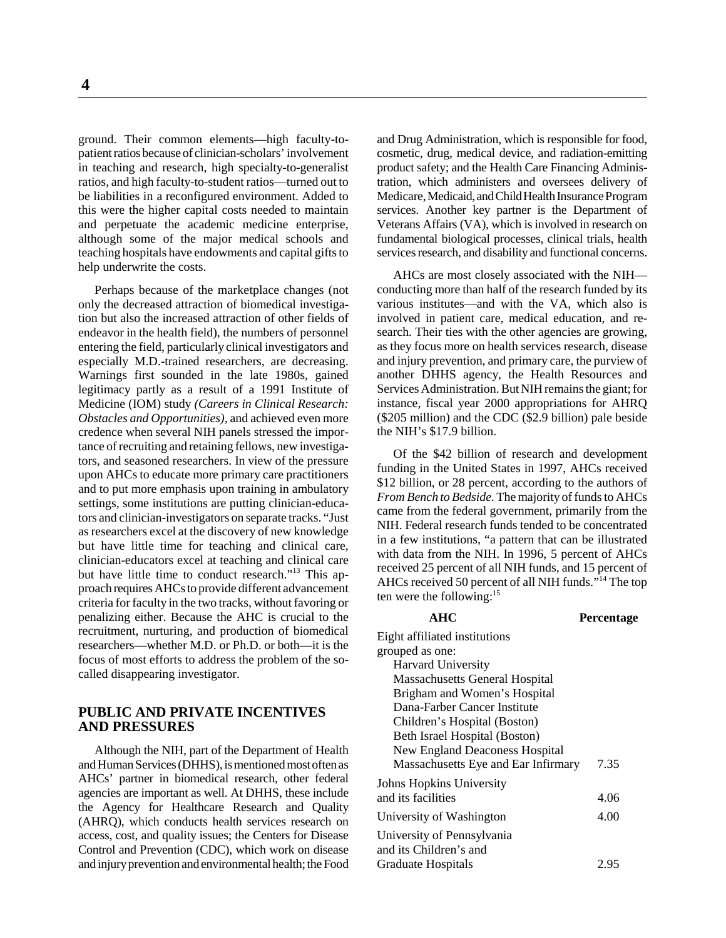ground. Their common elements—high faculty-topatient ratios because of clinician-scholars' involvement in teaching and research, high specialty-to-generalist ratios, and high faculty-to-student ratios—turned out to be liabilities in a reconfigured environment. Added to this were the higher capital costs needed to maintain and perpetuate the academic medicine enterprise, although some of the major medical schools and teaching hospitals have endowments and capital gifts to help underwrite the costs.

Perhaps because of the marketplace changes (not only the decreased attraction of biomedical investigation but also the increased attraction of other fields of endeavor in the health field), the numbers of personnel entering the field, particularly clinical investigators and especially M.D.-trained researchers, are decreasing. Warnings first sounded in the late 1980s, gained legitimacy partly as a result of a 1991 Institute of Medicine (IOM) study *(Careers in Clinical Research: Obstacles and Opportunities),* and achieved even more credence when several NIH panels stressed the importance of recruiting and retaining fellows, new investigators, and seasoned researchers. In view of the pressure upon AHCs to educate more primary care practitioners and to put more emphasis upon training in ambulatory settings, some institutions are putting clinician-educators and clinician-investigators on separate tracks. "Just as researchers excel at the discovery of new knowledge but have little time for teaching and clinical care, clinician-educators excel at teaching and clinical care but have little time to conduct research."13 This approach requires AHCs to provide different advancement criteria for faculty in the two tracks, without favoring or penalizing either. Because the AHC is crucial to the recruitment, nurturing, and production of biomedical researchers—whether M.D. or Ph.D. or both—it is the focus of most efforts to address the problem of the socalled disappearing investigator.

#### **PUBLIC AND PRIVATE INCENTIVES AND PRESSURES**

Although the NIH, part of the Department of Health and Human Services (DHHS), is mentioned most often as AHCs' partner in biomedical research, other federal agencies are important as well. At DHHS, these include the Agency for Healthcare Research and Quality (AHRQ), which conducts health services research on access, cost, and quality issues; the Centers for Disease Control and Prevention (CDC), which work on disease and injury prevention and environmental health; the Food

and Drug Administration, which is responsible for food, cosmetic, drug, medical device, and radiation-emitting product safety; and the Health Care Financing Administration, which administers and oversees delivery of Medicare, Medicaid, and Child Health Insurance Program services. Another key partner is the Department of Veterans Affairs (VA), which is involved in research on fundamental biological processes, clinical trials, health services research, and disability and functional concerns.

AHCs are most closely associated with the NIH conducting more than half of the research funded by its various institutes—and with the VA, which also is involved in patient care, medical education, and research. Their ties with the other agencies are growing, as they focus more on health services research, disease and injury prevention, and primary care, the purview of another DHHS agency, the Health Resources and Services Administration. But NIH remains the giant; for instance, fiscal year 2000 appropriations for AHRQ (\$205 million) and the CDC (\$2.9 billion) pale beside the NIH's \$17.9 billion.

Of the \$42 billion of research and development funding in the United States in 1997, AHCs received \$12 billion, or 28 percent, according to the authors of *From Bench to Bedside.* The majority of funds to AHCs came from the federal government, primarily from the NIH. Federal research funds tended to be concentrated in a few institutions, "a pattern that can be illustrated with data from the NIH. In 1996, 5 percent of AHCs received 25 percent of all NIH funds, and 15 percent of AHCs received 50 percent of all NIH funds."14 The top ten were the following: $15$ 

| AHC                                   | <b>Percentage</b> |
|---------------------------------------|-------------------|
| Eight affiliated institutions         |                   |
| grouped as one:                       |                   |
| <b>Harvard University</b>             |                   |
| <b>Massachusetts General Hospital</b> |                   |
| Brigham and Women's Hospital          |                   |
| Dana-Farber Cancer Institute          |                   |
| Children's Hospital (Boston)          |                   |
| Beth Israel Hospital (Boston)         |                   |
| <b>New England Deaconess Hospital</b> |                   |
| Massachusetts Eye and Ear Infirmary   | 7.35              |
| Johns Hopkins University              |                   |
| and its facilities                    | 4.06              |
| University of Washington              | 4.00              |
| University of Pennsylvania            |                   |
| and its Children's and                |                   |
| Graduate Hospitals                    | 2.95              |
|                                       |                   |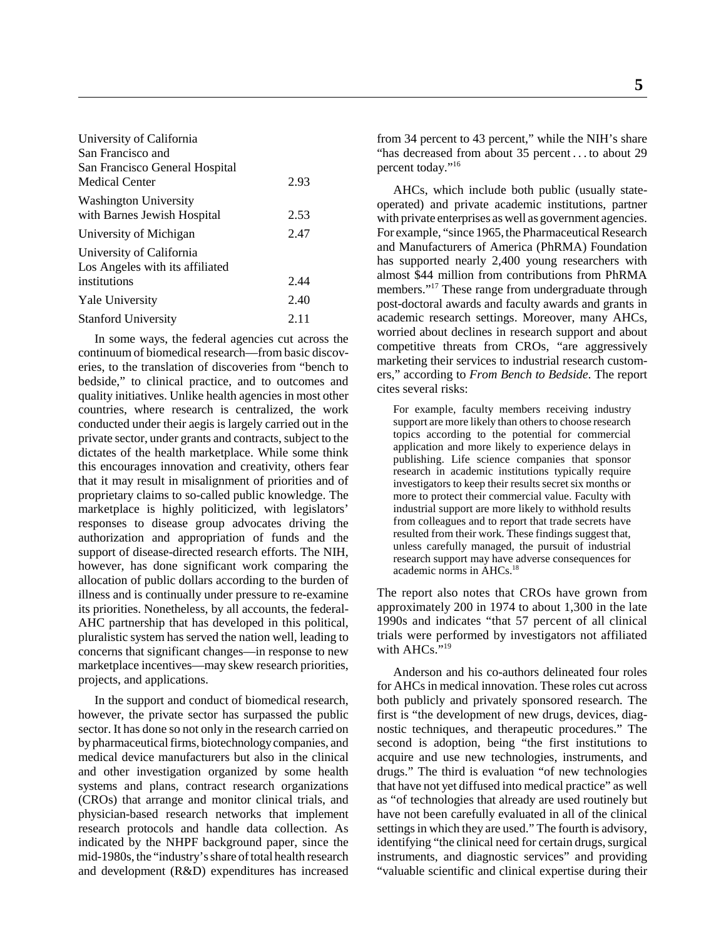| University of California        |      |
|---------------------------------|------|
| San Francisco and               |      |
| San Francisco General Hospital  |      |
| Medical Center                  | 2.93 |
| <b>Washington University</b>    |      |
| with Barnes Jewish Hospital     | 2.53 |
| University of Michigan          | 2.47 |
| University of California        |      |
| Los Angeles with its affiliated |      |
| institutions                    | 2.44 |
| <b>Yale University</b>          | 2.40 |
| <b>Stanford University</b>      | 2.11 |
|                                 |      |

In some ways, the federal agencies cut across the continuum of biomedical research—from basic discoveries, to the translation of discoveries from "bench to bedside," to clinical practice, and to outcomes and quality initiatives. Unlike health agencies in most other countries, where research is centralized, the work conducted under their aegis is largely carried out in the private sector, under grants and contracts, subject to the dictates of the health marketplace. While some think this encourages innovation and creativity, others fear that it may result in misalignment of priorities and of proprietary claims to so-called public knowledge. The marketplace is highly politicized, with legislators' responses to disease group advocates driving the authorization and appropriation of funds and the support of disease-directed research efforts. The NIH, however, has done significant work comparing the allocation of public dollars according to the burden of illness and is continually under pressure to re-examine its priorities. Nonetheless, by all accounts, the federal-AHC partnership that has developed in this political, pluralistic system has served the nation well, leading to concerns that significant changes—in response to new marketplace incentives—may skew research priorities, projects, and applications.

In the support and conduct of biomedical research, however, the private sector has surpassed the public sector. It has done so not only in the research carried on by pharmaceutical firms, biotechnology companies, and medical device manufacturers but also in the clinical and other investigation organized by some health systems and plans, contract research organizations (CROs) that arrange and monitor clinical trials, and physician-based research networks that implement research protocols and handle data collection. As indicated by the NHPF background paper, since the mid-1980s, the "industry's share of total health research and development (R&D) expenditures has increased

**5**

from 34 percent to 43 percent," while the NIH's share "has decreased from about 35 percent . . . to about 29 percent today."16

AHCs, which include both public (usually stateoperated) and private academic institutions, partner with private enterprises as well as government agencies. For example, "since 1965, the Pharmaceutical Research and Manufacturers of America (PhRMA) Foundation has supported nearly 2,400 young researchers with almost \$44 million from contributions from PhRMA members."<sup>17</sup> These range from undergraduate through post-doctoral awards and faculty awards and grants in academic research settings. Moreover, many AHCs, worried about declines in research support and about competitive threats from CROs, "are aggressively marketing their services to industrial research customers," according to *From Bench to Bedside*. The report cites several risks:

For example, faculty members receiving industry support are more likely than others to choose research topics according to the potential for commercial application and more likely to experience delays in publishing. Life science companies that sponsor research in academic institutions typically require investigators to keep their results secret six months or more to protect their commercial value. Faculty with industrial support are more likely to withhold results from colleagues and to report that trade secrets have resulted from their work. These findings suggest that, unless carefully managed, the pursuit of industrial research support may have adverse consequences for academic norms in AHCs.18

The report also notes that CROs have grown from approximately 200 in 1974 to about 1,300 in the late 1990s and indicates "that 57 percent of all clinical trials were performed by investigators not affiliated with AHCs."<sup>19</sup>

Anderson and his co-authors delineated four roles for AHCs in medical innovation. These roles cut across both publicly and privately sponsored research. The first is "the development of new drugs, devices, diagnostic techniques, and therapeutic procedures." The second is adoption, being "the first institutions to acquire and use new technologies, instruments, and drugs." The third is evaluation "of new technologies that have not yet diffused into medical practice" as well as "of technologies that already are used routinely but have not been carefully evaluated in all of the clinical settings in which they are used." The fourth is advisory, identifying "the clinical need for certain drugs, surgical instruments, and diagnostic services" and providing "valuable scientific and clinical expertise during their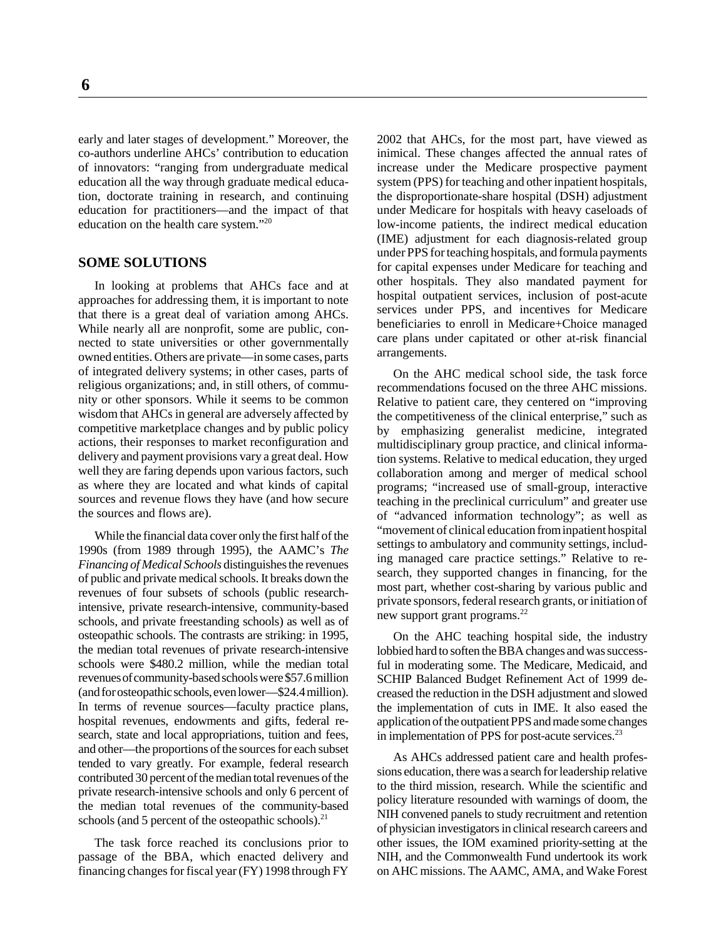early and later stages of development." Moreover, the co-authors underline AHCs' contribution to education of innovators: "ranging from undergraduate medical education all the way through graduate medical education, doctorate training in research, and continuing education for practitioners—and the impact of that education on the health care system."20

#### **SOME SOLUTIONS**

In looking at problems that AHCs face and at approaches for addressing them, it is important to note that there is a great deal of variation among AHCs. While nearly all are nonprofit, some are public, connected to state universities or other governmentally owned entities. Others are private—in some cases, parts of integrated delivery systems; in other cases, parts of religious organizations; and, in still others, of community or other sponsors. While it seems to be common wisdom that AHCs in general are adversely affected by competitive marketplace changes and by public policy actions, their responses to market reconfiguration and delivery and payment provisions vary a great deal. How well they are faring depends upon various factors, such as where they are located and what kinds of capital sources and revenue flows they have (and how secure the sources and flows are).

While the financial data cover only the first half of the 1990s (from 1989 through 1995), the AAMC's *The Financing of Medical Schools* distinguishes the revenues of public and private medical schools. It breaks down the revenues of four subsets of schools (public researchintensive, private research-intensive, community-based schools, and private freestanding schools) as well as of osteopathic schools. The contrasts are striking: in 1995, the median total revenues of private research-intensive schools were \$480.2 million, while the median total revenues of community-based schools were \$57.6 million (and for osteopathic schools, even lower—\$24.4 million). In terms of revenue sources—faculty practice plans, hospital revenues, endowments and gifts, federal research, state and local appropriations, tuition and fees, and other—the proportions of the sources for each subset tended to vary greatly. For example, federal research contributed 30 percent of the median total revenues of the private research-intensive schools and only 6 percent of the median total revenues of the community-based schools (and 5 percent of the osteopathic schools). $^{21}$ 

The task force reached its conclusions prior to passage of the BBA, which enacted delivery and financing changes for fiscal year (FY) 1998 through FY 2002 that AHCs, for the most part, have viewed as inimical. These changes affected the annual rates of increase under the Medicare prospective payment system (PPS) for teaching and other inpatient hospitals, the disproportionate-share hospital (DSH) adjustment under Medicare for hospitals with heavy caseloads of low-income patients, the indirect medical education (IME) adjustment for each diagnosis-related group under PPS for teaching hospitals, and formula payments for capital expenses under Medicare for teaching and other hospitals. They also mandated payment for hospital outpatient services, inclusion of post-acute services under PPS, and incentives for Medicare beneficiaries to enroll in Medicare+Choice managed care plans under capitated or other at-risk financial arrangements.

On the AHC medical school side, the task force recommendations focused on the three AHC missions. Relative to patient care, they centered on "improving the competitiveness of the clinical enterprise," such as by emphasizing generalist medicine, integrated multidisciplinary group practice, and clinical information systems. Relative to medical education, they urged collaboration among and merger of medical school programs; "increased use of small-group, interactive teaching in the preclinical curriculum" and greater use of "advanced information technology"; as well as "movement of clinical education from inpatient hospital settings to ambulatory and community settings, including managed care practice settings." Relative to research, they supported changes in financing, for the most part, whether cost-sharing by various public and private sponsors, federal research grants, or initiation of new support grant programs. $^{22}$ 

On the AHC teaching hospital side, the industry lobbied hard to soften the BBA changes and was successful in moderating some. The Medicare, Medicaid, and SCHIP Balanced Budget Refinement Act of 1999 decreased the reduction in the DSH adjustment and slowed the implementation of cuts in IME. It also eased the application of the outpatient PPS and made some changes in implementation of PPS for post-acute services.<sup>23</sup>

As AHCs addressed patient care and health professions education, there was a search for leadership relative to the third mission, research. While the scientific and policy literature resounded with warnings of doom, the NIH convened panels to study recruitment and retention of physician investigators in clinical research careers and other issues, the IOM examined priority-setting at the NIH, and the Commonwealth Fund undertook its work on AHC missions. The AAMC, AMA, and Wake Forest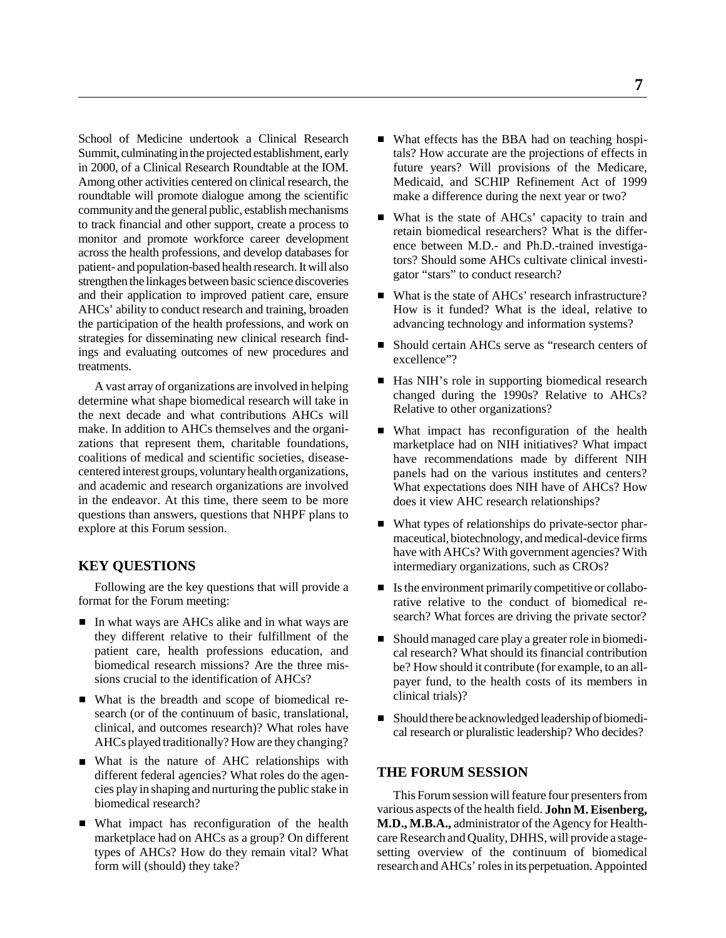School of Medicine undertook a Clinical Research Summit, culminating in the projected establishment, early in 2000, of a Clinical Research Roundtable at the IOM. Among other activities centered on clinical research, the roundtable will promote dialogue among the scientific community and the general public, establish mechanisms to track financial and other support, create a process to monitor and promote workforce career development across the health professions, and develop databases for patient- and population-based health research. It will also strengthen the linkages between basic science discoveries and their application to improved patient care, ensure AHCs' ability to conduct research and training, broaden the participation of the health professions, and work on strategies for disseminating new clinical research findings and evaluating outcomes of new procedures and treatments.

A vast array of organizations are involved in helping determine what shape biomedical research will take in the next decade and what contributions AHCs will make. In addition to AHCs themselves and the organizations that represent them, charitable foundations, coalitions of medical and scientific societies, diseasecentered interest groups, voluntary health organizations, and academic and research organizations are involved in the endeavor. At this time, there seem to be more questions than answers, questions that NHPF plans to explore at this Forum session.

#### **KEY QUESTIONS**

Following are the key questions that will provide a format for the Forum meeting:

- In what ways are AHCs alike and in what ways are they different relative to their fulfillment of the patient care, health professions education, and biomedical research missions? Are the three missions crucial to the identification of AHCs?
- What is the breadth and scope of biomedical research (or of the continuum of basic, translational, clinical, and outcomes research)? What roles have AHCs played traditionally? How are they changing?
- What is the nature of AHC relationships with different federal agencies? What roles do the agencies play in shaping and nurturing the public stake in biomedical research?
- What impact has reconfiguration of the health marketplace had on AHCs as a group? On different types of AHCs? How do they remain vital? What form will (should) they take?
- What effects has the BBA had on teaching hospitals? How accurate are the projections of effects in future years? Will provisions of the Medicare, Medicaid, and SCHIP Refinement Act of 1999 make a difference during the next year or two?
- What is the state of AHCs' capacity to train and retain biomedical researchers? What is the difference between M.D.- and Ph.D.-trained investigators? Should some AHCs cultivate clinical investigator "stars" to conduct research?
- What is the state of AHCs' research infrastructure? How is it funded? What is the ideal, relative to advancing technology and information systems?
- Should certain AHCs serve as "research centers of excellence"?
- Has NIH's role in supporting biomedical research changed during the 1990s? Relative to AHCs? Relative to other organizations?
- What impact has reconfiguration of the health marketplace had on NIH initiatives? What impact have recommendations made by different NIH panels had on the various institutes and centers? What expectations does NIH have of AHCs? How does it view AHC research relationships?
- What types of relationships do private-sector pharmaceutical, biotechnology, and medical-device firms have with AHCs? With government agencies? With intermediary organizations, such as CROs?
- Is the environment primarily competitive or collaborative relative to the conduct of biomedical research? What forces are driving the private sector?
- Should managed care play a greater role in biomedical research? What should its financial contribution be? How should it contribute (for example, to an allpayer fund, to the health costs of its members in clinical trials)?
- Should there be acknowledged leadership of biomedical research or pluralistic leadership? Who decides?

#### **THE FORUM SESSION**

This Forum session will feature four presenters from various aspects of the health field. **John M. Eisenberg, M.D., M.B.A.,** administrator of the Agency for Healthcare Research and Quality, DHHS, will provide a stagesetting overview of the continuum of biomedical research and AHCs' roles in its perpetuation. Appointed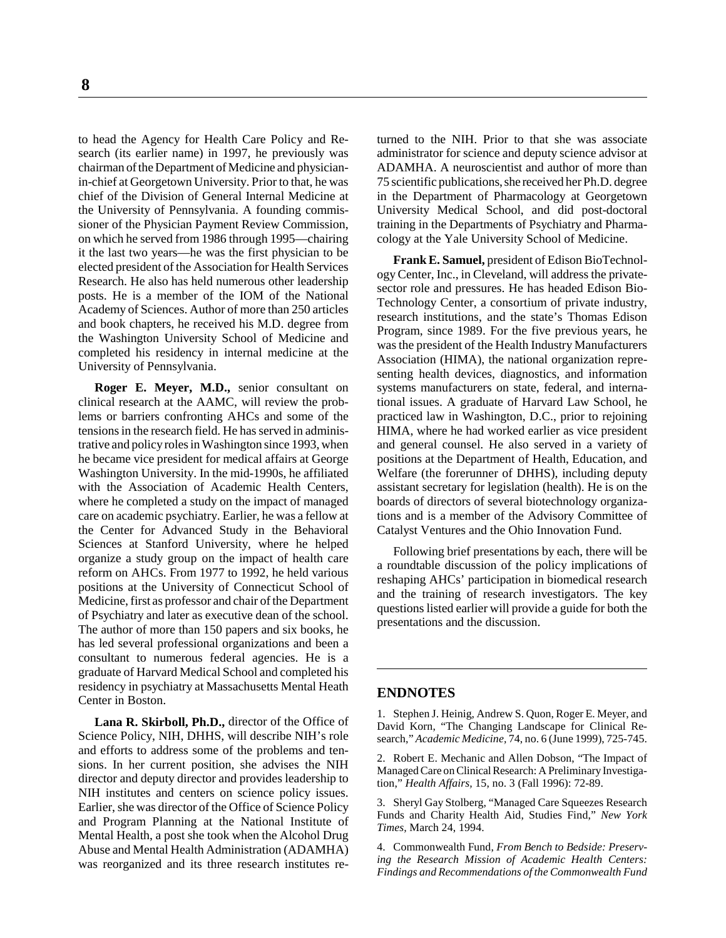to head the Agency for Health Care Policy and Research (its earlier name) in 1997, he previously was chairman of the Department of Medicine and physicianin-chief at Georgetown University. Prior to that, he was chief of the Division of General Internal Medicine at the University of Pennsylvania. A founding commissioner of the Physician Payment Review Commission, on which he served from 1986 through 1995—chairing it the last two years—he was the first physician to be elected president of the Association for Health Services Research. He also has held numerous other leadership posts. He is a member of the IOM of the National Academy of Sciences. Author of more than 250 articles and book chapters, he received his M.D. degree from the Washington University School of Medicine and completed his residency in internal medicine at the University of Pennsylvania.

**Roger E. Meyer, M.D.,** senior consultant on clinical research at the AAMC, will review the problems or barriers confronting AHCs and some of the tensions in the research field. He has served in administrative and policy roles in Washington since 1993, when he became vice president for medical affairs at George Washington University. In the mid-1990s, he affiliated with the Association of Academic Health Centers, where he completed a study on the impact of managed care on academic psychiatry. Earlier, he was a fellow at the Center for Advanced Study in the Behavioral Sciences at Stanford University, where he helped organize a study group on the impact of health care reform on AHCs. From 1977 to 1992, he held various positions at the University of Connecticut School of Medicine, first as professor and chair of the Department of Psychiatry and later as executive dean of the school. The author of more than 150 papers and six books, he has led several professional organizations and been a consultant to numerous federal agencies. He is a graduate of Harvard Medical School and completed his residency in psychiatry at Massachusetts Mental Heath Center in Boston.

**Lana R. Skirboll, Ph.D.,** director of the Office of Science Policy, NIH, DHHS, will describe NIH's role and efforts to address some of the problems and tensions. In her current position, she advises the NIH director and deputy director and provides leadership to NIH institutes and centers on science policy issues. Earlier, she was director of the Office of Science Policy and Program Planning at the National Institute of Mental Health, a post she took when the Alcohol Drug Abuse and Mental Health Administration (ADAMHA) was reorganized and its three research institutes returned to the NIH. Prior to that she was associate administrator for science and deputy science advisor at ADAMHA. A neuroscientist and author of more than 75 scientific publications, she received her Ph.D. degree in the Department of Pharmacology at Georgetown University Medical School, and did post-doctoral training in the Departments of Psychiatry and Pharmacology at the Yale University School of Medicine.

**Frank E. Samuel,** president of Edison BioTechnology Center, Inc., in Cleveland, will address the privatesector role and pressures. He has headed Edison Bio-Technology Center, a consortium of private industry, research institutions, and the state's Thomas Edison Program, since 1989. For the five previous years, he was the president of the Health Industry Manufacturers Association (HIMA), the national organization representing health devices, diagnostics, and information systems manufacturers on state, federal, and international issues. A graduate of Harvard Law School, he practiced law in Washington, D.C., prior to rejoining HIMA, where he had worked earlier as vice president and general counsel. He also served in a variety of positions at the Department of Health, Education, and Welfare (the forerunner of DHHS), including deputy assistant secretary for legislation (health). He is on the boards of directors of several biotechnology organizations and is a member of the Advisory Committee of Catalyst Ventures and the Ohio Innovation Fund.

Following brief presentations by each, there will be a roundtable discussion of the policy implications of reshaping AHCs' participation in biomedical research and the training of research investigators. The key questions listed earlier will provide a guide for both the presentations and the discussion.

#### **ENDNOTES**

1. Stephen J. Heinig, Andrew S. Quon, Roger E. Meyer, and David Korn, "The Changing Landscape for Clinical Research," *Academic Medicine,* 74, no. 6 (June 1999), 725-745.

2. Robert E. Mechanic and Allen Dobson, "The Impact of Managed Care on Clinical Research: A Preliminary Investigation," *Health Affairs,* 15, no. 3 (Fall 1996): 72-89.

3. Sheryl Gay Stolberg, "Managed Care Squeezes Research Funds and Charity Health Aid, Studies Find," *New York Times,* March 24, 1994.

4. Commonwealth Fund, *From Bench to Bedside: Preserving the Research Mission of Academic Health Centers: Findings and Recommendations of the Commonwealth Fund*